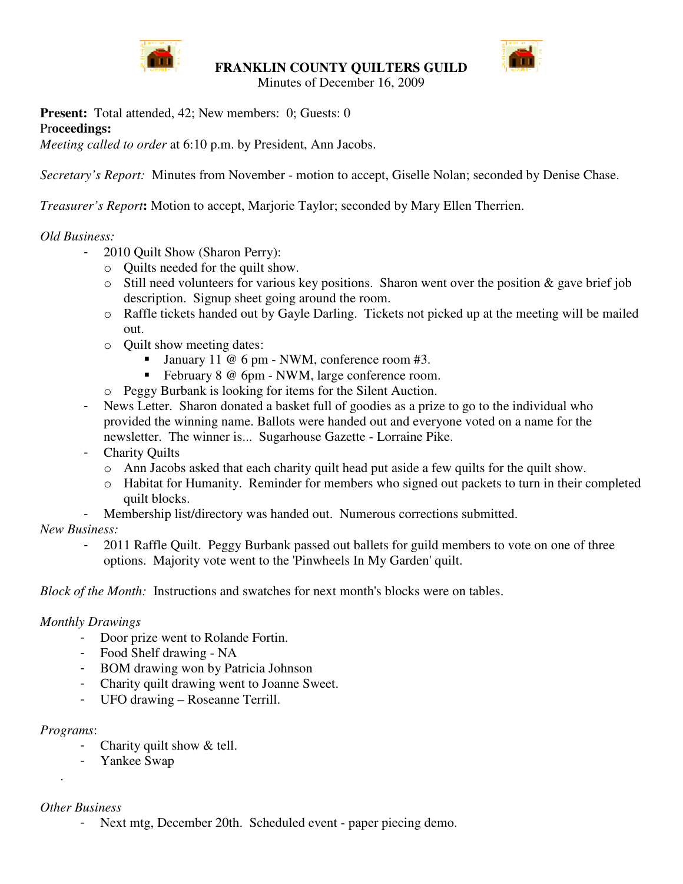

**FRANKLIN COUNTY QUILTERS GUILD**



Minutes of December 16, 2009

**Present:** Total attended, 42; New members: 0; Guests: 0 Pr**oceedings:**

*Meeting called to order* at 6:10 p.m. by President, Ann Jacobs.

*Secretary's Report:* Minutes from November - motion to accept, Giselle Nolan; seconded by Denise Chase.

*Treasurer's Report***:** Motion to accept, Marjorie Taylor; seconded by Mary Ellen Therrien.

# *Old Business:*

- 2010 Quilt Show (Sharon Perry):
	- o Quilts needed for the quilt show.
	- o Still need volunteers for various key positions. Sharon went over the position & gave brief job description. Signup sheet going around the room.
	- o Raffle tickets handed out by Gayle Darling. Tickets not picked up at the meeting will be mailed out.
	- o Quilt show meeting dates:
		- January 11 @ 6 pm NWM, conference room #3.
		- February 8 @ 6pm NWM, large conference room.
	- o Peggy Burbank is looking for items for the Silent Auction.
- News Letter. Sharon donated a basket full of goodies as a prize to go to the individual who provided the winning name. Ballots were handed out and everyone voted on a name for the newsletter. The winner is... Sugarhouse Gazette - Lorraine Pike.
- Charity Quilts
	- o Ann Jacobs asked that each charity quilt head put aside a few quilts for the quilt show.
	- o Habitat for Humanity. Reminder for members who signed out packets to turn in their completed quilt blocks.
	- Membership list/directory was handed out. Numerous corrections submitted.

### *New Business:*

- 2011 Raffle Quilt. Peggy Burbank passed out ballets for guild members to vote on one of three options. Majority vote went to the 'Pinwheels In My Garden' quilt.

*Block of the Month:* Instructions and swatches for next month's blocks were on tables.

### *Monthly Drawings*

- Door prize went to Rolande Fortin.
- Food Shelf drawing NA
- BOM drawing won by Patricia Johnson
- Charity quilt drawing went to Joanne Sweet.
- UFO drawing Roseanne Terrill.

### *Programs*:

.

- Charity quilt show & tell.
- Yankee Swap

## *Other Business*

Next mtg, December 20th. Scheduled event - paper piecing demo.